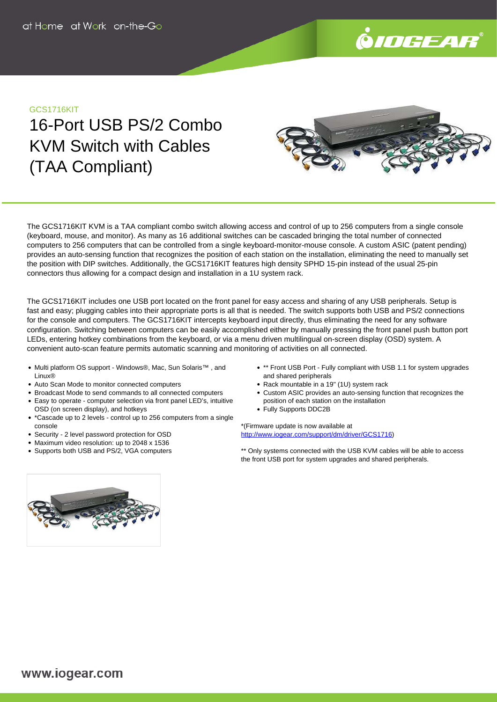

## GCS1716KIT

# 16-Port USB PS/2 Combo KVM Switch with Cables (TAA Compliant)



The GCS1716KIT KVM is a TAA compliant combo switch allowing access and control of up to 256 computers from a single console (keyboard, mouse, and monitor). As many as 16 additional switches can be cascaded bringing the total number of connected computers to 256 computers that can be controlled from a single keyboard-monitor-mouse console. A custom ASIC (patent pending) provides an auto-sensing function that recognizes the position of each station on the installation, eliminating the need to manually set the position with DIP switches. Additionally, the GCS1716KIT features high density SPHD 15-pin instead of the usual 25-pin connectors thus allowing for a compact design and installation in a 1U system rack.

The GCS1716KIT includes one USB port located on the front panel for easy access and sharing of any USB peripherals. Setup is fast and easy; plugging cables into their appropriate ports is all that is needed. The switch supports both USB and PS/2 connections for the console and computers. The GCS1716KIT intercepts keyboard input directly, thus eliminating the need for any software configuration. Switching between computers can be easily accomplished either by manually pressing the front panel push button port LEDs, entering hotkey combinations from the keyboard, or via a menu driven multilingual on-screen display (OSD) system. A convenient auto-scan feature permits automatic scanning and monitoring of activities on all connected.

- Multi platform OS support Windows®, Mac, Sun Solaris™ , and Linux®
- Auto Scan Mode to monitor connected computers
- Broadcast Mode to send commands to all connected computers
- Easy to operate computer selection via front panel LED's, intuitive OSD (on screen display), and hotkeys
- \*Cascade up to 2 levels control up to 256 computers from a single console
- Security 2 level password protection for OSD
- Maximum video resolution: up to 2048 x 1536
- Supports both USB and PS/2, VGA computers
- \*\* Front USB Port Fully compliant with USB 1.1 for system upgrades and shared peripherals
- Rack mountable in a 19" (1U) system rack
- Custom ASIC provides an auto-sensing function that recognizes the position of each station on the installation
- Fully Supports DDC2B

\*(Firmware update is now available at [http://www.iogear.com/support/dm/driver/GCS1716\)](http://www.iogear.com/support/dm/driver/GCS1716)

\*\* Only systems connected with the USB KVM cables will be able to access the front USB port for system upgrades and shared peripherals.

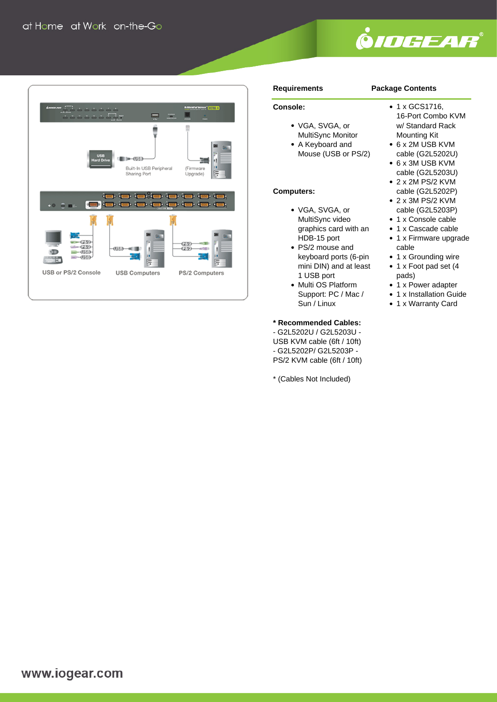



## **Requirements**

## **Package Contents**

## **Console:**

- VGA, SVGA, or MultiSync Monitor
- A Keyboard and Mouse (USB or PS/2)

## **Computers:**

- VGA, SVGA, or MultiSync video graphics card with an HDB-15 port
- PS/2 mouse and keyboard ports (6-pin mini DIN) and at least 1 USB port
- Multi OS Platform Support: PC / Mac / Sun / Linux

### **\* Recommended Cables:**

- G2L5202U / G2L5203U - USB KVM cable (6ft / 10ft) - G2L5202P/ G2L5203P - PS/2 KVM cable (6ft / 10ft)

\* (Cables Not Included)

- 1 x GCS1716, 16-Port Combo KVM w/ Standard Rack Mounting Kit
- 6 x 2M USB KVM cable (G2L5202U)
- 6 x 3M USB KVM cable (G2L5203U)
- 2 x 2M PS/2 KVM cable (G2L5202P)
- 2 x 3M PS/2 KVM cable (G2L5203P)
- 1 x Console cable
- 1 x Cascade cable
- 1 x Firmware upgrade cable
- 1 x Grounding wire
- 1 x Foot pad set (4 pads)
- 1 x Power adapter
- 1 x Installation Guide
- 1 x Warranty Card